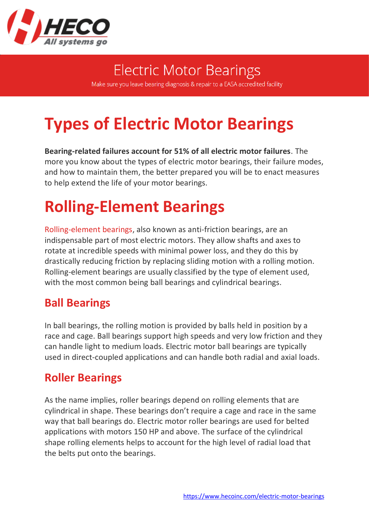

**Electric Motor Bearings** Make sure you leave bearing diagnosis & repair to a EASA accredited facility

# **Types of Electric Motor Bearings**

**Bearing-related failures account for 51% of all electric motor failures**. The more you know about the types of electric motor bearings, their failure modes, and how to maintain them, the better prepared you will be to enact measures to help extend the life of your motor bearings.

## **Rolling-Element Bearings**

[Rolling-element bearings,](https://www.hecoinc.com/blog/electric-motor-ball-bearings-types-options) also known as anti-friction bearings, are an indispensable part of most electric motors. They allow shafts and axes to rotate at incredible speeds with minimal power loss, and they do this by drastically reducing friction by replacing sliding motion with a rolling motion. Rolling-element bearings are usually classified by the type of element used, with the most common being ball bearings and cylindrical bearings.

#### **Ball Bearings**

In ball bearings, the rolling motion is provided by balls held in position by a race and cage. Ball bearings support high speeds and very low friction and they can handle light to medium loads. Electric motor ball bearings are typically used in direct-coupled applications and can handle both radial and axial loads.

#### **Roller Bearings**

As the name implies, roller bearings depend on rolling elements that are cylindrical in shape. These bearings don't require a cage and race in the same way that ball bearings do. Electric motor roller bearings are used for belted applications with motors 150 HP and above. The surface of the cylindrical shape rolling elements helps to account for the high level of radial load that the belts put onto the bearings.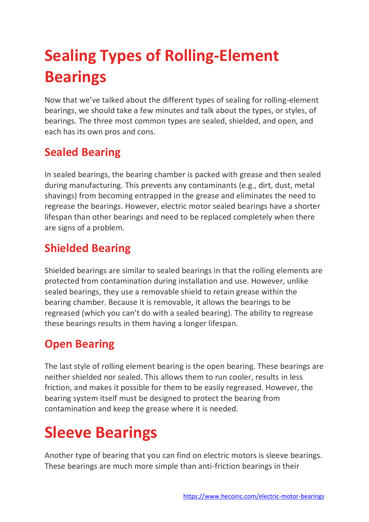# **Sealing Types of Rolling-Element Bearings**

Now that we've talked about the different types of sealing for rolling-element bearings, we should take a few minutes and talk about the types, or styles, of bearings. The three most common types are sealed, shielded, and open, and each has its own pros and cons.

### **Sealed Bearing**

In sealed bearings, the bearing chamber is packed with grease and then sealed during manufacturing. This prevents any contaminants (e.g., dirt, dust, metal shavings) from becoming entrapped in the grease and eliminates the need to regrease the bearings. However, electric motor sealed bearings have a shorter lifespan than other bearings and need to be replaced completely when there are signs of a problem.

#### **Shielded Bearing**

Shielded bearings are similar to sealed bearings in that the rolling elements are protected from contamination during installation and use. However, unlike sealed bearings, they use a removable shield to retain grease within the bearing chamber. Because it is removable, it allows the bearings to be regreased (which you can't do with a sealed bearing). The ability to regrease these bearings results in them having a longer lifespan.

#### **Open Bearing**

The last style of rolling element bearing is the open bearing. These bearings are neither shielded nor sealed. This allows them to run cooler, results in less friction, and makes it possible for them to be easily regreased. However, the bearing system itself must be designed to protect the bearing from contamination and keep the grease where it is needed.

### **Sleeve Bearings**

Another type of bearing that you can find on electric motors is sleeve bearings. These bearings are much more simple than anti-friction bearings in their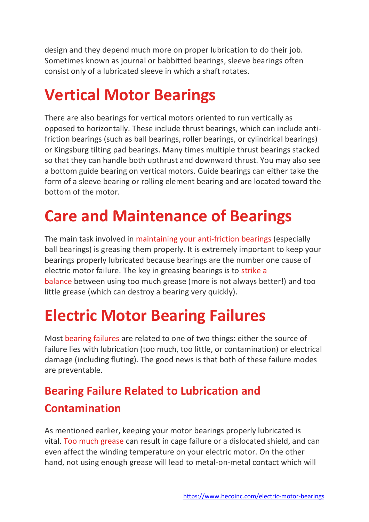design and they depend much more on proper lubrication to do their job. Sometimes known as journal or babbitted bearings, sleeve bearings often consist only of a lubricated sleeve in which a shaft rotates.

### **Vertical Motor Bearings**

There are also bearings for vertical motors oriented to run vertically as opposed to horizontally. These include thrust bearings, which can include antifriction bearings (such as ball bearings, roller bearings, or cylindrical bearings) or Kingsburg tilting pad bearings. Many times multiple thrust bearings stacked so that they can handle both upthrust and downward thrust. You may also see a bottom guide bearing on vertical motors. Guide bearings can either take the form of a sleeve bearing or rolling element bearing and are located toward the bottom of the motor.

## **Care and Maintenance of Bearings**

The main task involved in [maintaining your anti-friction bearings](https://www.hecoinc.com/blog/greasing-electric-motor-ball-bearings) (especially ball bearings) is greasing them properly. It is extremely important to keep your bearings properly lubricated because bearings are the number one cause of electric motor failure. The key in greasing bearings is to [strike a](https://www.hecoinc.com/blog/electric-motor-ball-bearing-lubrication-pitfalls)  [balance](https://www.hecoinc.com/blog/electric-motor-ball-bearing-lubrication-pitfalls) between using too much grease (more is not always better!) and too little grease (which can destroy a bearing very quickly).

## **Electric Motor Bearing Failures**

Most [bearing failures](https://www.hecoinc.com/blog/common-preventable-electric-motor-failures-bearings) are related to one of two things: either the source of failure lies with lubrication (too much, too little, or contamination) or electrical damage (including fluting). The good news is that both of these failure modes are preventable.

### **Bearing Failure Related to Lubrication and Contamination**

As mentioned earlier, keeping your motor bearings properly lubricated is vital. [Too much grease](https://www.hecoinc.com/blog/electric-motor-ball-bearing-lubrication-pitfalls) can result in cage failure or a dislocated shield, and can even affect the winding temperature on your electric motor. On the other hand, not using enough grease will lead to metal-on-metal contact which will